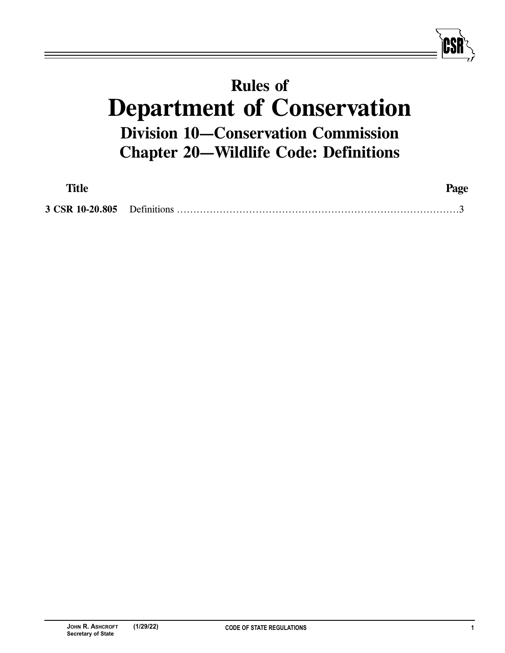## **Rules of Department of Conservation Division 10—Conservation Commission Chapter 20—Wildlife Code: Definitions**

| Title | Page |
|-------|------|
|       |      |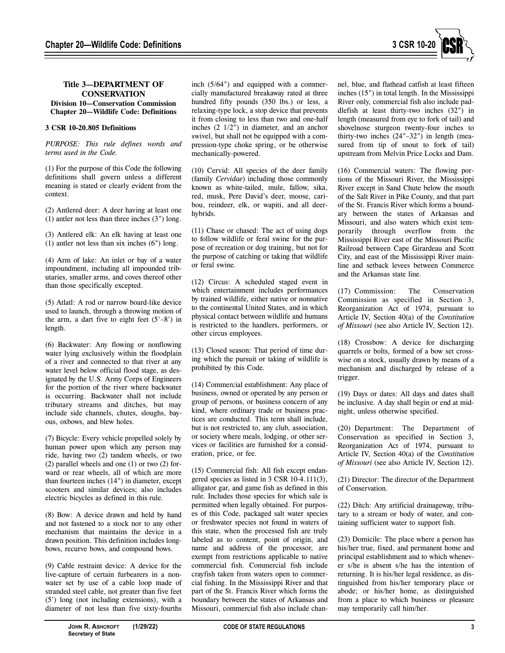

## **Title 3—DEPARTMENT OF CONSERVATION Division 10—Conservation Commission**

## **Chapter 20—Wildlife Code: Definitions**

## **3 CSR 10-20.805 Definitions**

*PURPOSE: This rule defines words and terms used in the Code.*

(1) For the purpose of this Code the following definitions shall govern unless a different meaning is stated or clearly evident from the context.

(2) Antlered deer: A deer having at least one (1) antler not less than three inches (3") long.

(3) Antlered elk: An elk having at least one (1) antler not less than six inches (6") long.

(4) Arm of lake: An inlet or bay of a water impoundment, including all impounded tributaries, smaller arms, and coves thereof other than those specifically excepted.

(5) Atlatl: A rod or narrow board-like device used to launch, through a throwing motion of the arm, a dart five to eight feet  $(5'-8')$  in length.

(6) Backwater: Any flowing or nonflowing water lying exclusively within the floodplain of a river and connected to that river at any water level below official flood stage, as designated by the U.S. Army Corps of Engineers for the portion of the river where backwater is occurring. Backwater shall not include tributary streams and ditches, but may include side channels, chutes, sloughs, bayous, oxbows, and blew holes.

(7) Bicycle: Every vehicle propelled solely by human power upon which any person may ride, having two (2) tandem wheels, or two (2) parallel wheels and one (1) or two (2) forward or rear wheels, all of which are more than fourteen inches (14") in diameter, except scooters and similar devices; also includes electric bicycles as defined in this rule.

(8) Bow: A device drawn and held by hand and not fastened to a stock nor to any other mechanism that maintains the device in a drawn position. This definition includes longbows, recurve bows, and compound bows.

(9) Cable restraint device: A device for the live-capture of certain furbearers in a nonwater set by use of a cable loop made of stranded steel cable, not greater than five feet (5') long (not including extensions), with a diameter of not less than five sixty-fourths

inch (5/64") and equipped with a commercially manufactured breakaway rated at three hundred fifty pounds (350 lbs.) or less, a relaxing-type lock, a stop device that prevents it from closing to less than two and one-half inches (2 1/2") in diameter, and an anchor swivel, but shall not be equipped with a compression-type choke spring, or be otherwise mechanically-powered.

(10) Cervid: All species of the deer family (family *Cervidae*) including those commonly known as white-tailed, mule, fallow, sika, red, musk, Pere David's deer, moose, caribou, reindeer, elk, or wapiti, and all deerhybrids.

(11) Chase or chased: The act of using dogs to follow wildlife or feral swine for the purpose of recreation or dog training, but not for the purpose of catching or taking that wildlife or feral swine.

(12) Circus: A scheduled staged event in which entertainment includes performances by trained wildlife, either native or nonnative to the continental United States, and in which physical contact between wildlife and humans is restricted to the handlers, performers, or other circus employees.

(13) Closed season: That period of time during which the pursuit or taking of wildlife is prohibited by this Code.

(14) Commercial establishment: Any place of business, owned or operated by any person or group of persons, or business concern of any kind, where ordinary trade or business practices are conducted. This term shall include, but is not restricted to, any club, association, or society where meals, lodging, or other services or facilities are furnished for a consideration, price, or fee.

(15) Commercial fish: All fish except endangered species as listed in 3 CSR 10-4.111(3), alligator gar, and game fish as defined in this rule. Includes those species for which sale is permitted when legally obtained. For purposes of this Code, packaged salt water species or freshwater species not found in waters of this state, when the processed fish are truly labeled as to content, point of origin, and name and address of the processor, are exempt from restrictions applicable to native commercial fish. Commercial fish include crayfish taken from waters open to commercial fishing. In the Mississippi River and that part of the St. Francis River which forms the boundary between the states of Arkansas and Missouri, commercial fish also include channel, blue, and flathead catfish at least fifteen inches (15") in total length. In the Mississippi River only, commercial fish also include paddlefish at least thirty-two inches (32") in length (measured from eye to fork of tail) and shovelnose sturgeon twenty-four inches to thirty-two inches (24"–32") in length (measured from tip of snout to fork of tail) upstream from Melvin Price Locks and Dam.

(16) Commercial waters: The flowing portions of the Missouri River, the Mississippi River except in Sand Chute below the mouth of the Salt River in Pike County, and that part of the St. Francis River which forms a boundary between the states of Arkansas and Missouri, and also waters which exist temporarily through overflow from the Mississippi River east of the Missouri Pacific Railroad between Cape Girardeau and Scott City, and east of the Mississippi River mainline and setback levees between Commerce and the Arkansas state line.

(17) Commission: The Conservation Commission as specified in Section 3, Reorganization Act of 1974, pursuant to Article IV, Section 40(a) of the *Constitution of Missouri* (see also Article IV, Section 12).

(18) Crossbow: A device for discharging quarrels or bolts, formed of a bow set crosswise on a stock, usually drawn by means of a mechanism and discharged by release of a trigger.

(19) Days or dates: All days and dates shall be inclusive. A day shall begin or end at midnight, unless otherwise specified.

(20) Department: The Department of Conservation as specified in Section 3, Reorganization Act of 1974, pursuant to Article IV, Section 40(a) of the *Constitution of Missouri* (see also Article IV, Section 12).

(21) Director: The director of the Department of Conservation.

(22) Ditch: Any artificial drainageway, tributary to a stream or body of water, and containing sufficient water to support fish.

(23) Domicile: The place where a person has his/her true, fixed, and permanent home and principal establishment and to which whenever s/he is absent s/he has the intention of returning. It is his/her legal residence, as distinguished from his/her temporary place or abode; or his/her home, as distinguished from a place to which business or pleasure may temporarily call him/her.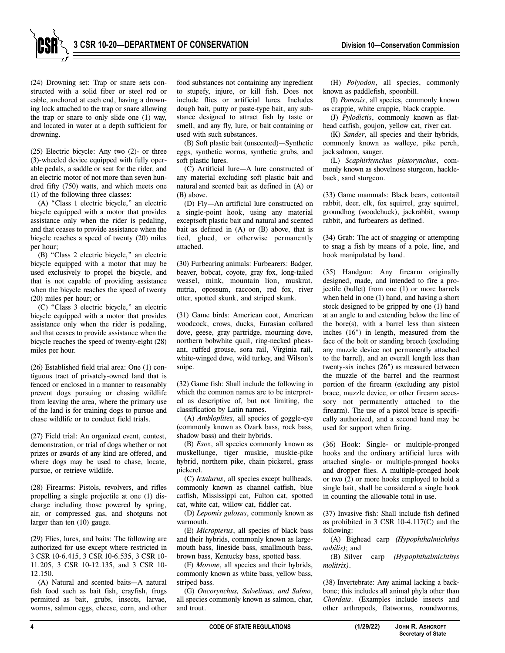

(24) Drowning set: Trap or snare sets constructed with a solid fiber or steel rod or cable, anchored at each end, having a drowning lock attached to the trap or snare allowing the trap or snare to only slide one (1) way, and located in water at a depth sufficient for drowning.

(25) Electric bicycle: Any two (2)- or three (3)-wheeled device equipped with fully operable pedals, a saddle or seat for the rider, and an electric motor of not more than seven hundred fifty (750) watts, and which meets one (1) of the following three classes:

(A) "Class 1 electric bicycle," an electric bicycle equipped with a motor that provides assistance only when the rider is pedaling, and that ceases to provide assistance when the bicycle reaches a speed of twenty (20) miles per hour;

(B) "Class 2 electric bicycle," an electric bicycle equipped with a motor that may be used exclusively to propel the bicycle, and that is not capable of providing assistance when the bicycle reaches the speed of twenty (20) miles per hour; or

(C) "Class 3 electric bicycle," an electric bicycle equipped with a motor that provides assistance only when the rider is pedaling, and that ceases to provide assistance when the bicycle reaches the speed of twenty-eight (28) miles per hour.

(26) Established field trial area: One (1) contiguous tract of privately-owned land that is fenced or enclosed in a manner to reasonably prevent dogs pursuing or chasing wildlife from leaving the area, where the primary use of the land is for training dogs to pursue and chase wildlife or to conduct field trials.

(27) Field trial: An organized event, contest, demonstration, or trial of dogs whether or not prizes or awards of any kind are offered, and where dogs may be used to chase, locate, pursue, or retrieve wildlife.

(28) Firearms: Pistols, revolvers, and rifles propelling a single projectile at one (1) discharge including those powered by spring, air, or compressed gas, and shotguns not larger than ten (10) gauge.

(29) Flies, lures, and baits: The following are authorized for use except where restricted in 3 CSR 10-6.415, 3 CSR 10-6.535, 3 CSR 10- 11.205, 3 CSR 10-12.135, and 3 CSR 10- 12.150.

(A) Natural and scented baits—A natural fish food such as bait fish, crayfish, frogs permitted as bait, grubs, insects, larvae, worms, salmon eggs, cheese, corn, and other

food substances not containing any ingredient to stupefy, injure, or kill fish. Does not include flies or artificial lures. Includes dough bait, putty or paste-type bait, any substance designed to attract fish by taste or smell, and any fly, lure, or bait containing or used with such substances.

(B) Soft plastic bait (unscented)—Synthetic eggs, synthetic worms, synthetic grubs, and soft plastic lures.

(C) Artificial lure—A lure constructed of any material excluding soft plastic bait and natural and scented bait as defined in (A) or (B) above.

(D) Fly—An artificial lure constructed on a single-point hook, using any material except soft plastic bait and natural and scented bait as defined in (A) or (B) above, that is tied, glued, or otherwise permanently attached.

(30) Furbearing animals: Furbearers: Badger, beaver, bobcat, coyote, gray fox, long-tailed weasel, mink, mountain lion, muskrat, nutria, opossum, raccoon, red fox, river otter, spotted skunk, and striped skunk.

(31) Game birds: American coot, American woodcock, crows, ducks, Eurasian collared dove, geese, gray partridge, mourning dove, northern bobwhite quail, ring-necked pheasant, ruffed grouse, sora rail, Virginia rail, white-winged dove, wild turkey, and Wilson's snipe.

(32) Game fish: Shall include the following in which the common names are to be interpreted as descriptive of, but not limiting, the classification by Latin names.

(A) *Ambloplites*, all species of goggle-eye (commonly known as Ozark bass, rock bass, shadow bass) and their hybrids.

(B) *Esox*, all species commonly known as muskellunge, tiger muskie, muskie-pike hybrid, northern pike, chain pickerel, grass pickerel.

(C) *Ictalurus*, all species except bullheads, commonly known as channel catfish, blue catfish, Mississippi cat, Fulton cat, spotted cat, white cat, willow cat, fiddler cat.

(D) *Lepomis gulosus*, commonly known as warmouth.

(E) *Micropterus*, all species of black bass and their hybrids, commonly known as largemouth bass, lineside bass, smallmouth bass, brown bass, Kentucky bass, spotted bass.

(F) *Morone*, all species and their hybrids, commonly known as white bass, yellow bass, striped bass.

(G) *Oncorynchus, Salvelinus, and Salmo*, all species commonly known as salmon, char, and trout.

(H) *Polyodon*, all species, commonly known as paddlefish, spoonbill.

(I) *Pomoxis*, all species, commonly known as crappie, white crappie, black crappie.

(J) *Pylodictis*, commonly known as flathead catfish, goujon, yellow cat, river cat.

(K) *Sander*, all species and their hybrids, commonly known as walleye, pike perch, jack salmon, sauger.

(L) *Scaphirhynchus platorynchus*, commonly known as shovelnose sturgeon, hackleback, sand sturgeon.

(33) Game mammals: Black bears, cottontail rabbit, deer, elk, fox squirrel, gray squirrel, groundhog (woodchuck), jackrabbit, swamp rabbit, and furbearers as defined.

(34) Grab: The act of snagging or attempting to snag a fish by means of a pole, line, and hook manipulated by hand.

(35) Handgun: Any firearm originally designed, made, and intended to fire a projectile (bullet) from one (1) or more barrels when held in one (1) hand, and having a short stock designed to be gripped by one (1) hand at an angle to and extending below the line of the bore(s), with a barrel less than sixteen inches (16") in length, measured from the face of the bolt or standing breech (excluding any muzzle device not permanently attached to the barrel), and an overall length less than twenty-six inches (26") as measured between the muzzle of the barrel and the rearmost portion of the firearm (excluding any pistol brace, muzzle device, or other firearm accessory not permanently attached to the firearm). The use of a pistol brace is specifically authorized, and a second hand may be used for support when firing.

(36) Hook: Single- or multiple-pronged hooks and the ordinary artificial lures with attached single- or multiple-pronged hooks and dropper flies. A multiple-pronged hook or two (2) or more hooks employed to hold a single bait, shall be considered a single hook in counting the allowable total in use.

(37) Invasive fish: Shall include fish defined as prohibited in 3 CSR 10-4.117(C) and the following:

(A) Bighead carp *(Hypophthalmichthys nobilis)*; and

(B) Silver carp *(Hypophthalmichthys molitrix)*.

(38) Invertebrate: Any animal lacking a backbone; this includes all animal phyla other than *Chordata*. (Examples include insects and other arthropods, flatworms, roundworms,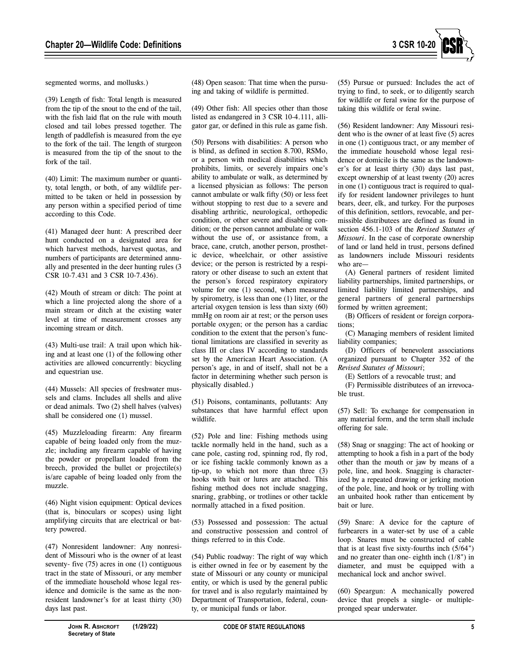

segmented worms, and mollusks.)

(39) Length of fish: Total length is measured from the tip of the snout to the end of the tail, with the fish laid flat on the rule with mouth closed and tail lobes pressed together. The length of paddlefish is measured from the eye to the fork of the tail. The length of sturgeon is measured from the tip of the snout to the fork of the tail.

(40) Limit: The maximum number or quantity, total length, or both, of any wildlife permitted to be taken or held in possession by any person within a specified period of time according to this Code.

(41) Managed deer hunt: A prescribed deer hunt conducted on a designated area for which harvest methods, harvest quotas, and numbers of participants are determined annually and presented in the deer hunting rules (3 CSR 10-7.431 and 3 CSR 10-7.436).

(42) Mouth of stream or ditch: The point at which a line projected along the shore of a main stream or ditch at the existing water level at time of measurement crosses any incoming stream or ditch.

(43) Multi-use trail: A trail upon which hiking and at least one (1) of the following other activities are allowed concurrently: bicycling and equestrian use.

(44) Mussels: All species of freshwater mussels and clams. Includes all shells and alive or dead animals. Two (2) shell halves (valves) shall be considered one (1) mussel.

(45) Muzzleloading firearm: Any firearm capable of being loaded only from the muzzle; including any firearm capable of having the powder or propellant loaded from the breech, provided the bullet or projectile(s) is/are capable of being loaded only from the muzzle.

(46) Night vision equipment: Optical devices (that is, binoculars or scopes) using light amplifying circuits that are electrical or battery powered.

(47) Nonresident landowner: Any nonresident of Missouri who is the owner of at least seventy- five (75) acres in one (1) contiguous tract in the state of Missouri, or any member of the immediate household whose legal residence and domicile is the same as the nonresident landowner's for at least thirty (30) days last past.

(48) Open season: That time when the pursuing and taking of wildlife is permitted.

(49) Other fish: All species other than those listed as endangered in 3 CSR 10-4.111, alligator gar, or defined in this rule as game fish.

(50) Persons with disabilities: A person who is blind, as defined in section 8.700, RSMo, or a person with medical disabilities which prohibits, limits, or severely impairs one's ability to ambulate or walk, as determined by a licensed physician as follows: The person cannot ambulate or walk fifty (50) or less feet without stopping to rest due to a severe and disabling arthritic, neurological, orthopedic condition, or other severe and disabling condition; or the person cannot ambulate or walk without the use of, or assistance from, a brace, cane, crutch, another person, prosthetic device, wheelchair, or other assistive device; or the person is restricted by a respiratory or other disease to such an extent that the person's forced respiratory expiratory volume for one (1) second, when measured by spirometry, is less than one (1) liter, or the arterial oxygen tension is less than sixty (60) mmHg on room air at rest; or the person uses portable oxygen; or the person has a cardiac condition to the extent that the person's functional limitations are classified in severity as class III or class IV according to standards set by the American Heart Association. (A person's age, in and of itself, shall not be a factor in determining whether such person is physically disabled.)

(51) Poisons, contaminants, pollutants: Any substances that have harmful effect upon wildlife.

(52) Pole and line: Fishing methods using tackle normally held in the hand, such as a cane pole, casting rod, spinning rod, fly rod, or ice fishing tackle commonly known as a tip-up, to which not more than three (3) hooks with bait or lures are attached. This fishing method does not include snagging, snaring, grabbing, or trotlines or other tackle normally attached in a fixed position.

(53) Possessed and possession: The actual and constructive possession and control of things referred to in this Code.

(54) Public roadway: The right of way which is either owned in fee or by easement by the state of Missouri or any county or municipal entity, or which is used by the general public for travel and is also regularly maintained by Department of Transportation, federal, county, or municipal funds or labor.

(55) Pursue or pursued: Includes the act of trying to find, to seek, or to diligently search for wildlife or feral swine for the purpose of taking this wildlife or feral swine.

(56) Resident landowner: Any Missouri resident who is the owner of at least five (5) acres in one (1) contiguous tract, or any member of the immediate household whose legal residence or domicile is the same as the landowner's for at least thirty (30) days last past, except ownership of at least twenty (20) acres in one (1) contiguous tract is required to qualify for resident landowner privileges to hunt bears, deer, elk, and turkey. For the purposes of this definition, settlors, revocable, and permissible distributees are defined as found in section 456.1-103 of the *Revised Statutes of Missouri*. In the case of corporate ownership of land or land held in trust, persons defined as landowners include Missouri residents who are—

(A) General partners of resident limited liability partnerships, limited partnerships, or limited liability limited partnerships, and general partners of general partnerships formed by written agreement;

(B) Officers of resident or foreign corporations;

(C) Managing members of resident limited liability companies;

(D) Officers of benevolent associations organized pursuant to Chapter 352 of the *Revised Statutes of Missouri*;

(E) Settlors of a revocable trust; and

(F) Permissible distributees of an irrevocable trust.

(57) Sell: To exchange for compensation in any material form, and the term shall include offering for sale.

(58) Snag or snagging: The act of hooking or attempting to hook a fish in a part of the body other than the mouth or jaw by means of a pole, line, and hook. Snagging is characterized by a repeated drawing or jerking motion of the pole, line, and hook or by trolling with an unbaited hook rather than enticement by bait or lure.

(59) Snare: A device for the capture of furbearers in a water-set by use of a cable loop. Snares must be constructed of cable that is at least five sixty-fourths inch (5/64") and no greater than one- eighth inch (1/8") in diameter, and must be equipped with a mechanical lock and anchor swivel.

(60) Speargun: A mechanically powered device that propels a single- or multiplepronged spear underwater.